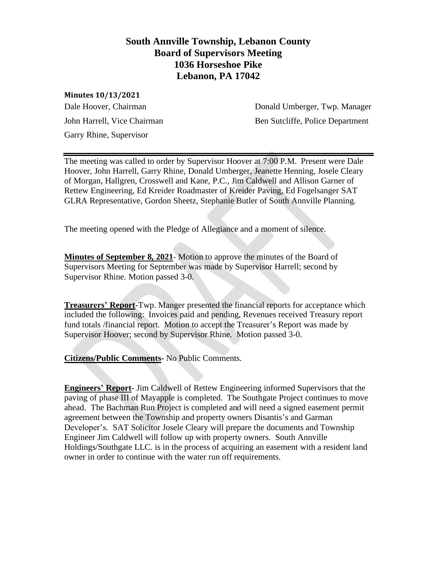# **South Annville Township, Lebanon County Board of Supervisors Meeting 1036 Horseshoe Pike Lebanon, PA 17042**

#### **Minutes 10/13/2021**

Garry Rhine, Supervisor

Dale Hoover, Chairman **Donald Umberger, Twp. Manager** John Harrell, Vice Chairman Ben Sutcliffe, Police Department

The meeting was called to order by Supervisor Hoover at 7:00 P.M. Present were Dale Hoover, John Harrell, Garry Rhine, Donald Umberger, Jeanette Henning, Josele Cleary of Morgan, Hallgren, Crosswell and Kane, P.C., Jim Caldwell and Allison Garner of Rettew Engineering, Ed Kreider Roadmaster of Kreider Paving, Ed Fogelsanger SAT GLRA Representative, Gordon Sheetz, Stephanie Butler of South Annville Planning.

The meeting opened with the Pledge of Allegiance and a moment of silence.

**Minutes of September 8, 2021**- Motion to approve the minutes of the Board of Supervisors Meeting for September was made by Supervisor Harrell; second by Supervisor Rhine. Motion passed 3-0.

**Treasurers' Report-**Twp. Manger presented the financial reports for acceptance which included the following: Invoices paid and pending, Revenues received Treasury report fund totals /financial report. Motion to accept the Treasurer's Report was made by Supervisor Hoover; second by Supervisor Rhine. Motion passed 3-0.

**Citizens/Public Comments-** No Public Comments.

**Engineers' Report**- Jim Caldwell of Rettew Engineering informed Supervisors that the paving of phase III of Mayapple is completed. The Southgate Project continues to move ahead. The Bachman Run Project is completed and will need a signed easement permit agreement between the Township and property owners Disantis's and Garman Developer's. SAT Solicitor Josele Cleary will prepare the documents and Township Engineer Jim Caldwell will follow up with property owners. South Annville Holdings/Southgate LLC. is in the process of acquiring an easement with a resident land owner in order to continue with the water run off requirements.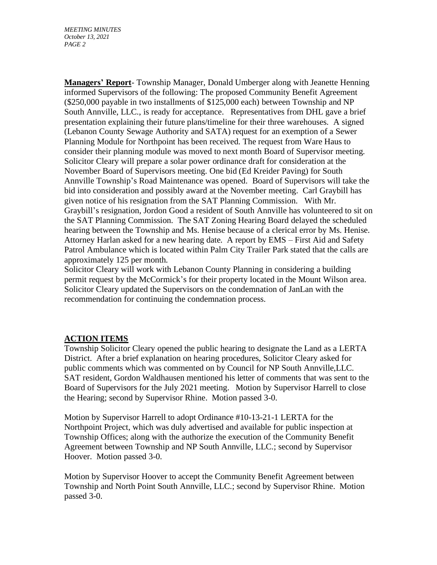**Managers' Report**- Township Manager, Donald Umberger along with Jeanette Henning informed Supervisors of the following: The proposed Community Benefit Agreement (\$250,000 payable in two installments of \$125,000 each) between Township and NP South Annville, LLC., is ready for acceptance. Representatives from DHL gave a brief presentation explaining their future plans/timeline for their three warehouses. A signed (Lebanon County Sewage Authority and SATA) request for an exemption of a Sewer Planning Module for Northpoint has been received. The request from Ware Haus to consider their planning module was moved to next month Board of Supervisor meeting. Solicitor Cleary will prepare a solar power ordinance draft for consideration at the November Board of Supervisors meeting. One bid (Ed Kreider Paving) for South Annville Township's Road Maintenance was opened. Board of Supervisors will take the bid into consideration and possibly award at the November meeting. Carl Graybill has given notice of his resignation from the SAT Planning Commission. With Mr. Graybill's resignation, Jordon Good a resident of South Annville has volunteered to sit on the SAT Planning Commission. The SAT Zoning Hearing Board delayed the scheduled hearing between the Township and Ms. Henise because of a clerical error by Ms. Henise. Attorney Harlan asked for a new hearing date. A report by EMS – First Aid and Safety Patrol Ambulance which is located within Palm City Trailer Park stated that the calls are approximately 125 per month.

Solicitor Cleary will work with Lebanon County Planning in considering a building permit request by the McCormick's for their property located in the Mount Wilson area. Solicitor Cleary updated the Supervisors on the condemnation of JanLan with the recommendation for continuing the condemnation process.

## **ACTION ITEMS**

Township Solicitor Cleary opened the public hearing to designate the Land as a LERTA District. After a brief explanation on hearing procedures, Solicitor Cleary asked for public comments which was commented on by Council for NP South Annville,LLC. SAT resident, Gordon Waldhausen mentioned his letter of comments that was sent to the Board of Supervisors for the July 2021 meeting. Motion by Supervisor Harrell to close the Hearing; second by Supervisor Rhine. Motion passed 3-0.

Motion by Supervisor Harrell to adopt Ordinance #10-13-21-1 LERTA for the Northpoint Project, which was duly advertised and available for public inspection at Township Offices; along with the authorize the execution of the Community Benefit Agreement between Township and NP South Annville, LLC.; second by Supervisor Hoover. Motion passed 3-0.

Motion by Supervisor Hoover to accept the Community Benefit Agreement between Township and North Point South Annville, LLC.; second by Supervisor Rhine. Motion passed 3-0.